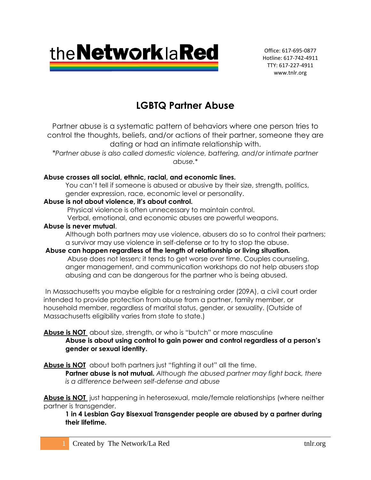

Office: 617-695-0877 Hotline: 617-742-4911 TTY: 617-227-4911 www.tnlr.org

# **LGBTQ Partner Abuse**

Partner abuse is a systematic pattern of behaviors where one person tries to control the thoughts, beliefs, and/or actions of their partner, someone they are dating or had an intimate relationship with.

*\*Partner abuse is also called domestic violence, battering, and/or intimate partner abuse.\**

## **Abuse crosses all social, ethnic, racial, and economic lines.**

You can't tell if someone is abused or abusive by their size, strength, politics, gender expression, race, economic level or personality.

## **Abuse is not about violence, it's about control.**

Physical violence is often unnecessary to maintain control.

Verbal, emotional, and economic abuses are powerful weapons.

## **Abuse is never mutual**.

Although both partners may use violence, abusers do so to control their partners; a survivor may use violence in self-defense or to try to stop the abuse.

## **Abuse can happen regardless of the length of relationship or living situation***.* Abuse does not lessen; it tends to get worse over time. Couples counseling,

anger management, and communication workshops do not help abusers stop abusing and can be dangerous for the partner who is being abused.

In Massachusetts you maybe eligible for a restraining order (209A), a civil court order intended to provide protection from abuse from a partner, family member, or household member, regardless of marital status, gender, or sexuality. (Outside of Massachusetts eligibility varies from state to state.)

## **Abuse is NOT** about size, strength, or who is "butch" or more masculine **Abuse is about using control to gain power and control regardless of a person's gender or sexual identity.**

Abuse is **NOT** about both partners just "fighting it out" all the time.

**Partner abuse is not mutual.** *Although the abused partner may fight back, there is a difference between self-defense and abuse* 

**Abuse is NOT** just happening in heterosexual, male/female relationships (where neither partner is transgender.

**1 in 4 Lesbian Gay Bisexual Transgender people are abused by a partner during their lifetime.**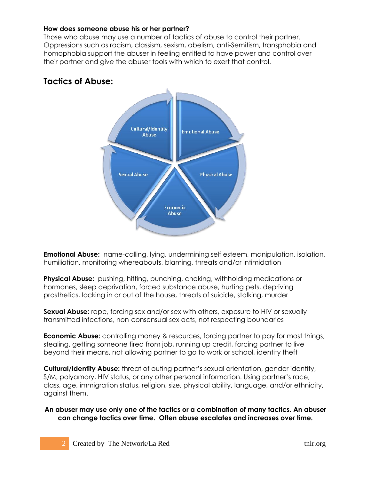#### **How does someone abuse his or her partner?**

Those who abuse may use a number of tactics of abuse to control their partner. Oppressions such as racism, classism, sexism, abelism, anti-Semitism, transphobia and homophobia support the abuser in feeling entitled to have power and control over their partner and give the abuser tools with which to exert that control.

## **Tactics of Abuse:**



**Emotional Abuse:** name-calling, lying, undermining self esteem, manipulation, isolation, humiliation, monitoring whereabouts, blaming, threats and/or intimidation

**Physical Abuse:** pushing, hitting, punching, choking, withholding medications or hormones, sleep deprivation, forced substance abuse, hurting pets, depriving prosthetics, locking in or out of the house, threats of suicide, stalking, murder

**Sexual Abuse:** rape, forcing sex and/or sex with others, exposure to HIV or sexually transmitted infections, non-consensual sex acts, not respecting boundaries

**Economic Abuse:** controlling money & resources, forcing partner to pay for most things, stealing, getting someone fired from job, running up credit, forcing partner to live beyond their means, not allowing partner to go to work or school, identity theft

**Cultural/Identity Abuse:** threat of outing partner's sexual orientation, gender identity, S/M, polyamory, HIV status, or any other personal information. Using partner's race, class, age, immigration status, religion, size, physical ability, language, and/or ethnicity, against them.

**An abuser may use only one of the tactics or a combination of many tactics. An abuser can change tactics over time. Often abuse escalates and increases over time.**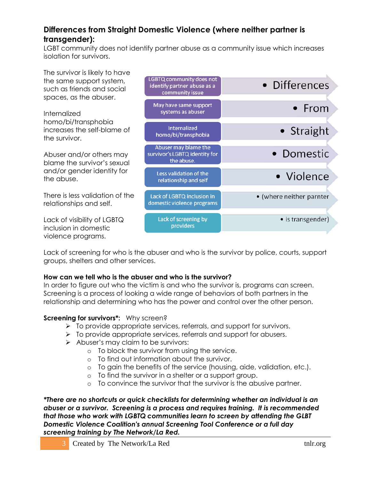## **Differences from Straight Domestic Violence (where neither partner is transgender):**

LGBT community does not identify partner abuse as a community issue which increases isolation for survivors.



Lack of screening for who is the abuser and who is the survivor by police, courts, support groups, shelters and other services.

## **How can we tell who is the abuser and who is the survivor?**

In order to figure out who the victim is and who the survivor is, programs can screen. Screening is a process of looking a wide range of behaviors of both partners in the relationship and determining who has the power and control over the other person.

## **Screening for survivors\*:** Why screen?

- $\triangleright$  To provide appropriate services, referrals, and support for survivors.
- $\triangleright$  To provide appropriate services, referrals and support for abusers.
- $\triangleright$  Abuser's may claim to be survivors:
	- o To block the survivor from using the service.
	- o To find out information about the survivor.
	- o To gain the benefits of the service (housing, aide, validation, etc.).
	- o To find the survivor in a shelter or a support group.
	- o To convince the survivor that the survivor is the abusive partner.

*\*There are no shortcuts or quick checklists for determining whether an individual is an abuser or a survivor. Screening is a process and requires training. It is recommended that those who work with LGBTQ communities learn to screen by attending the GLBT Domestic Violence Coalition's annual Screening Tool Conference or a full day screening training by The Network/La Red.*